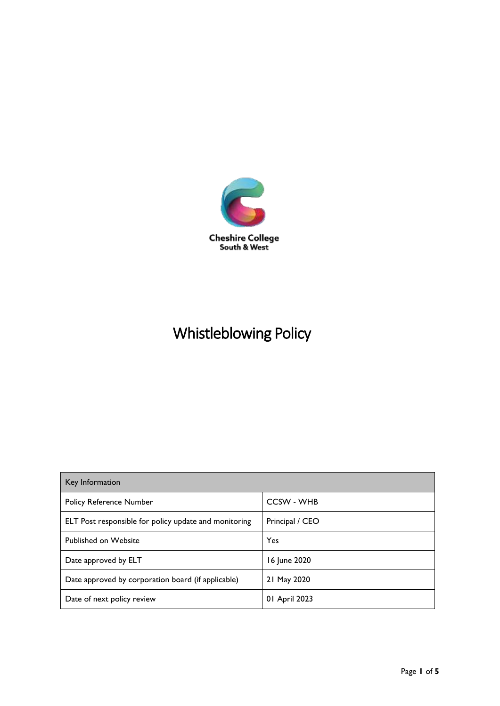

# Whistleblowing Policy

| Key Information                                       |                   |
|-------------------------------------------------------|-------------------|
| <b>Policy Reference Number</b>                        | <b>CCSW - WHB</b> |
| ELT Post responsible for policy update and monitoring | Principal / CEO   |
| <b>Published on Website</b>                           | Yes               |
| Date approved by ELT                                  | 16 June 2020      |
| Date approved by corporation board (if applicable)    | 21 May 2020       |
| Date of next policy review                            | 01 April 2023     |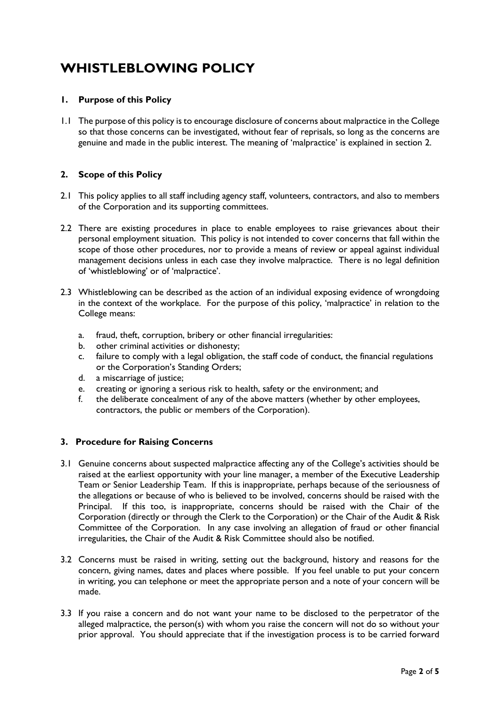# **WHISTLEBLOWING POLICY**

# **1. Purpose of this Policy**

1.1 The purpose of this policy is to encourage disclosure of concerns about malpractice in the College so that those concerns can be investigated, without fear of reprisals, so long as the concerns are genuine and made in the public interest. The meaning of 'malpractice' is explained in section 2.

# **2. Scope of this Policy**

- 2.1 This policy applies to all staff including agency staff, volunteers, contractors, and also to members of the Corporation and its supporting committees.
- 2.2 There are existing procedures in place to enable employees to raise grievances about their personal employment situation. This policy is not intended to cover concerns that fall within the scope of those other procedures, nor to provide a means of review or appeal against individual management decisions unless in each case they involve malpractice. There is no legal definition of 'whistleblowing' or of 'malpractice'.
- 2.3 Whistleblowing can be described as the action of an individual exposing evidence of wrongdoing in the context of the workplace. For the purpose of this policy, 'malpractice' in relation to the College means:
	- a. fraud, theft, corruption, bribery or other financial irregularities:
	- b. other criminal activities or dishonesty;
	- c. failure to comply with a legal obligation, the staff code of conduct, the financial regulations or the Corporation's Standing Orders;
	- d. a miscarriage of justice;
	- e. creating or ignoring a serious risk to health, safety or the environment; and
	- f. the deliberate concealment of any of the above matters (whether by other employees, contractors, the public or members of the Corporation).

# **3. Procedure for Raising Concerns**

- 3.1 Genuine concerns about suspected malpractice affecting any of the College's activities should be raised at the earliest opportunity with your line manager, a member of the Executive Leadership Team or Senior Leadership Team. If this is inappropriate, perhaps because of the seriousness of the allegations or because of who is believed to be involved, concerns should be raised with the Principal. If this too, is inappropriate, concerns should be raised with the Chair of the Corporation (directly or through the Clerk to the Corporation) or the Chair of the Audit & Risk Committee of the Corporation. In any case involving an allegation of fraud or other financial irregularities, the Chair of the Audit & Risk Committee should also be notified.
- 3.2 Concerns must be raised in writing, setting out the background, history and reasons for the concern, giving names, dates and places where possible. If you feel unable to put your concern in writing, you can telephone or meet the appropriate person and a note of your concern will be made.
- 3.3 If you raise a concern and do not want your name to be disclosed to the perpetrator of the alleged malpractice, the person(s) with whom you raise the concern will not do so without your prior approval. You should appreciate that if the investigation process is to be carried forward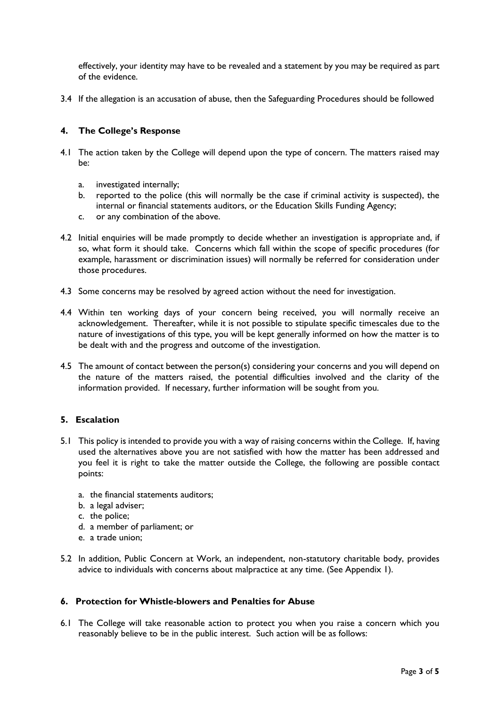effectively, your identity may have to be revealed and a statement by you may be required as part of the evidence.

3.4 If the allegation is an accusation of abuse, then the Safeguarding Procedures should be followed

#### **4. The College's Response**

- 4.1 The action taken by the College will depend upon the type of concern. The matters raised may be:
	- a. investigated internally;
	- b. reported to the police (this will normally be the case if criminal activity is suspected), the internal or financial statements auditors, or the Education Skills Funding Agency;
	- c. or any combination of the above.
- 4.2 Initial enquiries will be made promptly to decide whether an investigation is appropriate and, if so, what form it should take. Concerns which fall within the scope of specific procedures (for example, harassment or discrimination issues) will normally be referred for consideration under those procedures.
- 4.3 Some concerns may be resolved by agreed action without the need for investigation.
- 4.4 Within ten working days of your concern being received, you will normally receive an acknowledgement. Thereafter, while it is not possible to stipulate specific timescales due to the nature of investigations of this type, you will be kept generally informed on how the matter is to be dealt with and the progress and outcome of the investigation.
- 4.5 The amount of contact between the person(s) considering your concerns and you will depend on the nature of the matters raised, the potential difficulties involved and the clarity of the information provided. If necessary, further information will be sought from you.

# **5. Escalation**

- 5.1 This policy is intended to provide you with a way of raising concerns within the College. If, having used the alternatives above you are not satisfied with how the matter has been addressed and you feel it is right to take the matter outside the College, the following are possible contact points:
	- a. the financial statements auditors;
	- b. a legal adviser;
	- c. the police;
	- d. a member of parliament; or
	- e. a trade union;
- 5.2 In addition, Public Concern at Work, an independent, non-statutory charitable body, provides advice to individuals with concerns about malpractice at any time. (See Appendix 1).

# **6. Protection for Whistle-blowers and Penalties for Abuse**

6.1 The College will take reasonable action to protect you when you raise a concern which you reasonably believe to be in the public interest. Such action will be as follows: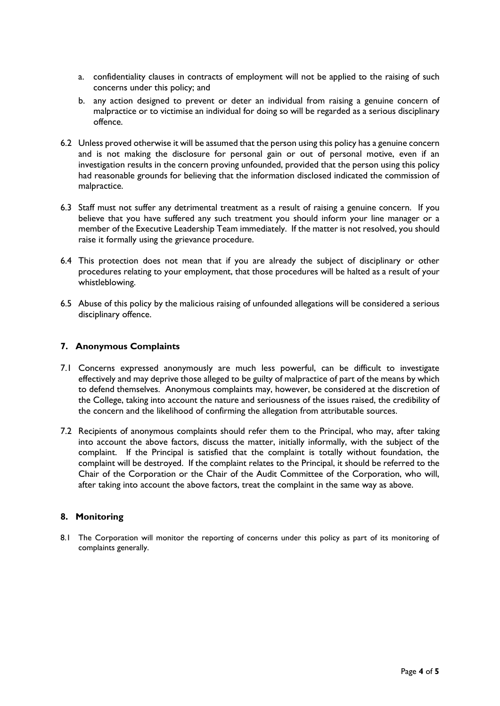- a. confidentiality clauses in contracts of employment will not be applied to the raising of such concerns under this policy; and
- b. any action designed to prevent or deter an individual from raising a genuine concern of malpractice or to victimise an individual for doing so will be regarded as a serious disciplinary offence.
- 6.2 Unless proved otherwise it will be assumed that the person using this policy has a genuine concern and is not making the disclosure for personal gain or out of personal motive, even if an investigation results in the concern proving unfounded, provided that the person using this policy had reasonable grounds for believing that the information disclosed indicated the commission of malpractice.
- 6.3 Staff must not suffer any detrimental treatment as a result of raising a genuine concern. If you believe that you have suffered any such treatment you should inform your line manager or a member of the Executive Leadership Team immediately. If the matter is not resolved, you should raise it formally using the grievance procedure.
- 6.4 This protection does not mean that if you are already the subject of disciplinary or other procedures relating to your employment, that those procedures will be halted as a result of your whistleblowing.
- 6.5 Abuse of this policy by the malicious raising of unfounded allegations will be considered a serious disciplinary offence.

#### **7. Anonymous Complaints**

- 7.1 Concerns expressed anonymously are much less powerful, can be difficult to investigate effectively and may deprive those alleged to be guilty of malpractice of part of the means by which to defend themselves. Anonymous complaints may, however, be considered at the discretion of the College, taking into account the nature and seriousness of the issues raised, the credibility of the concern and the likelihood of confirming the allegation from attributable sources.
- 7.2 Recipients of anonymous complaints should refer them to the Principal, who may, after taking into account the above factors, discuss the matter, initially informally, with the subject of the complaint. If the Principal is satisfied that the complaint is totally without foundation, the complaint will be destroyed. If the complaint relates to the Principal, it should be referred to the Chair of the Corporation or the Chair of the Audit Committee of the Corporation, who will, after taking into account the above factors, treat the complaint in the same way as above.

#### **8. Monitoring**

8.1 The Corporation will monitor the reporting of concerns under this policy as part of its monitoring of complaints generally.